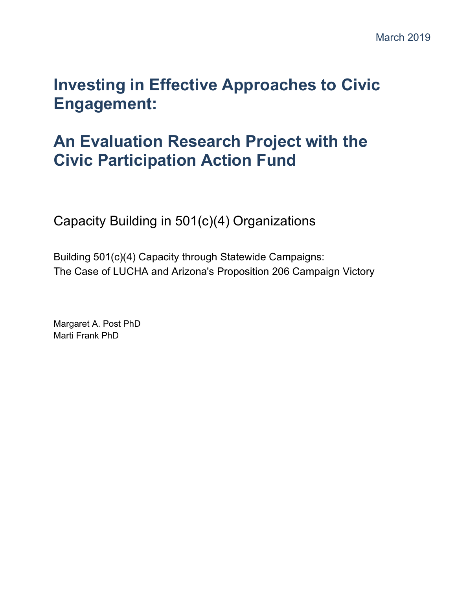# **Investing in Effective Approaches to Civic Engagement:**

# **An Evaluation Research Project with the Civic Participation Action Fund**

Capacity Building in 501(c)(4) Organizations

Building 501(c)(4) Capacity through Statewide Campaigns: The Case of LUCHA and Arizona's Proposition 206 Campaign Victory

Margaret A. Post PhD Marti Frank PhD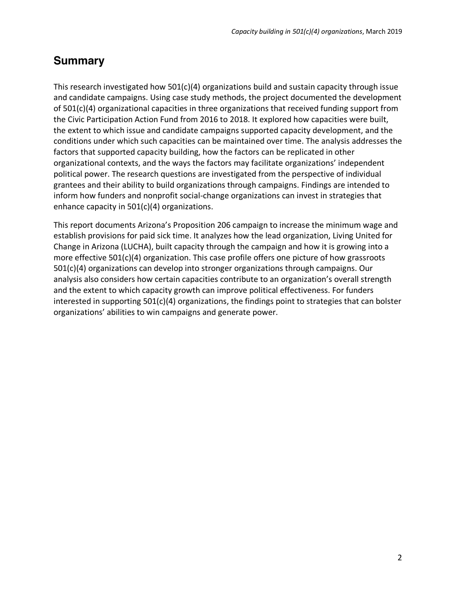# **Summary**

This research investigated how  $501(c)(4)$  organizations build and sustain capacity through issue and candidate campaigns. Using case study methods, the project documented the development of  $501(c)(4)$  organizational capacities in three organizations that received funding support from the Civic Participation Action Fund from 2016 to 2018. It explored how capacities were built, the extent to which issue and candidate campaigns supported capacity development, and the conditions under which such capacities can be maintained over time. The analysis addresses the factors that supported capacity building, how the factors can be replicated in other organizational contexts, and the ways the factors may facilitate organizations' independent political power. The research questions are investigated from the perspective of individual grantees and their ability to build organizations through campaigns. Findings are intended to inform how funders and nonprofit social-change organizations can invest in strategies that enhance capacity in 501(c)(4) organizations.

This report documents Arizona's Proposition 206 campaign to increase the minimum wage and establish provisions for paid sick time. It analyzes how the lead organization, Living United for Change in Arizona (LUCHA), built capacity through the campaign and how it is growing into a more effective 501(c)(4) organization. This case profile offers one picture of how grassroots 501(c)(4) organizations can develop into stronger organizations through campaigns. Our analysis also considers how certain capacities contribute to an organization's overall strength and the extent to which capacity growth can improve political effectiveness. For funders interested in supporting  $501(c)(4)$  organizations, the findings point to strategies that can bolster organizations' abilities to win campaigns and generate power.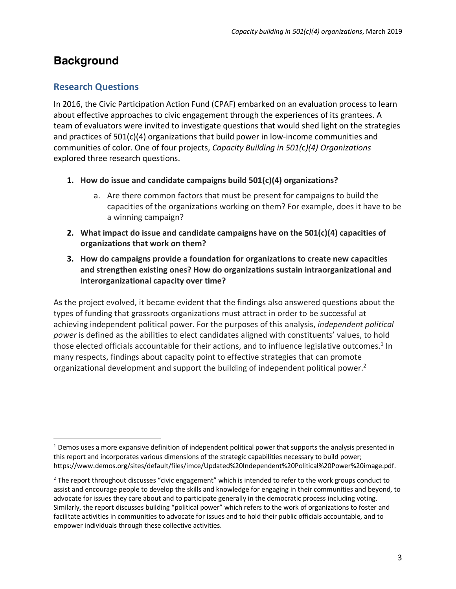# **Background**

## **Research Questions**

 

In 2016, the Civic Participation Action Fund (CPAF) embarked on an evaluation process to learn about effective approaches to civic engagement through the experiences of its grantees. A team of evaluators were invited to investigate questions that would shed light on the strategies and practices of 501(c)(4) organizations that build power in low-income communities and communities of color. One of four projects, *Capacity Building in 501(*c*)(4) Organizations* explored three research questions.

- **1. How do issue and candidate campaigns build 501(c)(4) organizations?**
	- a. Are there common factors that must be present for campaigns to build the capacities of the organizations working on them? For example, does it have to be a winning campaign?
- **2. What impact do issue and candidate campaigns have on the 501(c)(4) capacities of organizations that work on them?**
- **3. How do campaigns provide a foundation for organizations to create new capacities and strengthen existing ones? How do organizations sustain intraorganizational and interorganizational capacity over time?**

As the project evolved, it became evident that the findings also answered questions about the types of funding that grassroots organizations must attract in order to be successful at achieving independent political power. For the purposes of this analysis, *independent political power* is defined as the abilities to elect candidates aligned with constituents' values, to hold those elected officials accountable for their actions, and to influence legislative outcomes.<sup>1</sup> In many respects, findings about capacity point to effective strategies that can promote organizational development and support the building of independent political power.<sup>2</sup>

<sup>&</sup>lt;sup>1</sup> Demos uses a more expansive definition of independent political power that supports the analysis presented in this report and incorporates various dimensions of the strategic capabilities necessary to build power; https://www.demos.org/sites/default/files/imce/Updated%20Independent%20Political%20Power%20image.pdf.

 $<sup>2</sup>$  The report throughout discusses "civic engagement" which is intended to refer to the work groups conduct to</sup> assist and encourage people to develop the skills and knowledge for engaging in their communities and beyond, to advocate for issues they care about and to participate generally in the democratic process including voting. Similarly, the report discusses building "political power" which refers to the work of organizations to foster and facilitate activities in communities to advocate for issues and to hold their public officials accountable, and to empower individuals through these collective activities.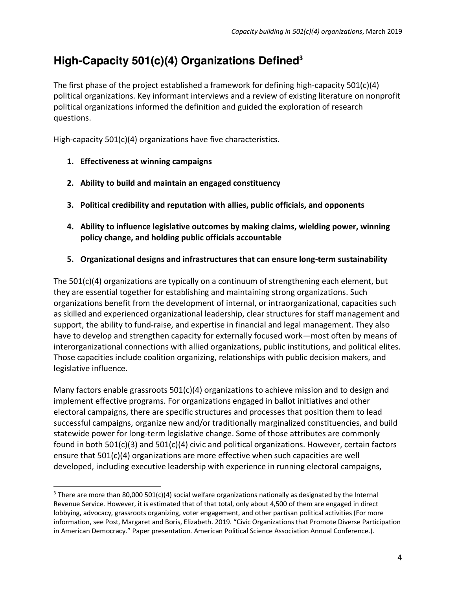# **High-Capacity 501(c)(4) Organizations Defined<sup>3</sup>**

The first phase of the project established a framework for defining high-capacity 501(c)(4) political organizations. Key informant interviews and a review of existing literature on nonprofit political organizations informed the definition and guided the exploration of research questions.

High-capacity 501(c)(4) organizations have five characteristics.

**1. Effectiveness at winning campaigns**

 

- **2. Ability to build and maintain an engaged constituency**
- **3. Political credibility and reputation with allies, public officials, and opponents**
- **4. Ability to influence legislative outcomes by making claims, wielding power, winning policy change, and holding public officials accountable**
- **5. Organizational designs and infrastructures that can ensure long-term sustainability**

The 501(c)(4) organizations are typically on a continuum of strengthening each element, but they are essential together for establishing and maintaining strong organizations. Such organizations benefit from the development of internal, or intraorganizational, capacities such as skilled and experienced organizational leadership, clear structures for staff management and support, the ability to fund-raise, and expertise in financial and legal management. They also have to develop and strengthen capacity for externally focused work—most often by means of interorganizational connections with allied organizations, public institutions, and political elites. Those capacities include coalition organizing, relationships with public decision makers, and legislative influence.

Many factors enable grassroots  $501(c)(4)$  organizations to achieve mission and to design and implement effective programs. For organizations engaged in ballot initiatives and other electoral campaigns, there are specific structures and processes that position them to lead successful campaigns, organize new and/or traditionally marginalized constituencies, and build statewide power for long-term legislative change. Some of those attributes are commonly found in both 501(c)(3) and 501(c)(4) civic and political organizations. However, certain factors ensure that 501(c)(4) organizations are more effective when such capacities are well developed, including executive leadership with experience in running electoral campaigns,

 $3$  There are more than 80,000 501(c)(4) social welfare organizations nationally as designated by the Internal Revenue Service. However, it is estimated that of that total, only about 4,500 of them are engaged in direct lobbying, advocacy, grassroots organizing, voter engagement, and other partisan political activities (For more information, see Post, Margaret and Boris, Elizabeth. 2019. "Civic Organizations that Promote Diverse Participation in American Democracy." Paper presentation. American Political Science Association Annual Conference.).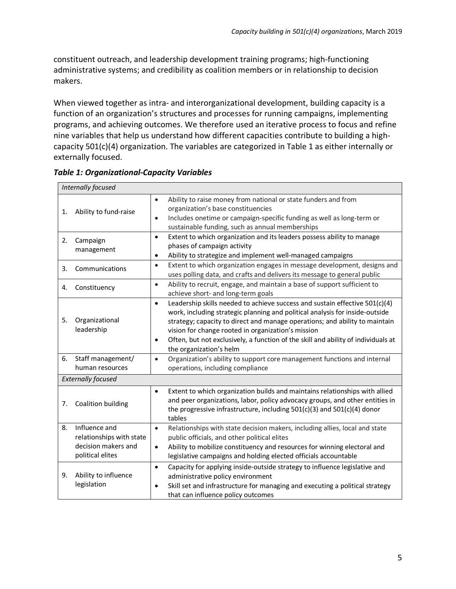constituent outreach, and leadership development training programs; high-functioning administrative systems; and credibility as coalition members or in relationship to decision makers.

When viewed together as intra- and interorganizational development, building capacity is a function of an organization's structures and processes for running campaigns, implementing programs, and achieving outcomes. We therefore used an iterative process to focus and refine nine variables that help us understand how different capacities contribute to building a highcapacity 501(c)(4) organization. The variables are categorized in Table 1 as either internally or externally focused.

| Internally focused        |                                                                                      |                                                                                                                                                                                                                                                                                                                                                                                                                                            |  |  |
|---------------------------|--------------------------------------------------------------------------------------|--------------------------------------------------------------------------------------------------------------------------------------------------------------------------------------------------------------------------------------------------------------------------------------------------------------------------------------------------------------------------------------------------------------------------------------------|--|--|
| 1.                        | Ability to fund-raise                                                                | Ability to raise money from national or state funders and from<br>$\bullet$<br>organization's base constituencies<br>Includes onetime or campaign-specific funding as well as long-term or<br>$\bullet$<br>sustainable funding, such as annual memberships                                                                                                                                                                                 |  |  |
| 2.                        | Campaign<br>management                                                               | Extent to which organization and its leaders possess ability to manage<br>$\bullet$<br>phases of campaign activity<br>Ability to strategize and implement well-managed campaigns<br>$\bullet$                                                                                                                                                                                                                                              |  |  |
| 3.                        | Communications                                                                       | Extent to which organization engages in message development, designs and<br>$\bullet$<br>uses polling data, and crafts and delivers its message to general public                                                                                                                                                                                                                                                                          |  |  |
| 4.                        | Constituency                                                                         | Ability to recruit, engage, and maintain a base of support sufficient to<br>$\bullet$<br>achieve short- and long-term goals                                                                                                                                                                                                                                                                                                                |  |  |
| 5.                        | Organizational<br>leadership                                                         | Leadership skills needed to achieve success and sustain effective 501(c)(4)<br>$\bullet$<br>work, including strategic planning and political analysis for inside-outside<br>strategy; capacity to direct and manage operations; and ability to maintain<br>vision for change rooted in organization's mission<br>Often, but not exclusively, a function of the skill and ability of individuals at<br>$\bullet$<br>the organization's helm |  |  |
| 6.                        | Staff management/<br>human resources                                                 | Organization's ability to support core management functions and internal<br>$\bullet$<br>operations, including compliance                                                                                                                                                                                                                                                                                                                  |  |  |
| <b>Externally focused</b> |                                                                                      |                                                                                                                                                                                                                                                                                                                                                                                                                                            |  |  |
| 7.                        | Coalition building                                                                   | Extent to which organization builds and maintains relationships with allied<br>$\bullet$<br>and peer organizations, labor, policy advocacy groups, and other entities in<br>the progressive infrastructure, including $501(c)(3)$ and $501(c)(4)$ donor<br>tables                                                                                                                                                                          |  |  |
| 8.                        | Influence and<br>relationships with state<br>decision makers and<br>political elites | Relationships with state decision makers, including allies, local and state<br>$\bullet$<br>public officials, and other political elites<br>Ability to mobilize constituency and resources for winning electoral and<br>$\bullet$<br>legislative campaigns and holding elected officials accountable                                                                                                                                       |  |  |
| 9.                        | Ability to influence<br>legislation                                                  | Capacity for applying inside-outside strategy to influence legislative and<br>$\bullet$<br>administrative policy environment<br>Skill set and infrastructure for managing and executing a political strategy<br>٠<br>that can influence policy outcomes                                                                                                                                                                                    |  |  |

*Table 1: Organizational-Capacity Variables*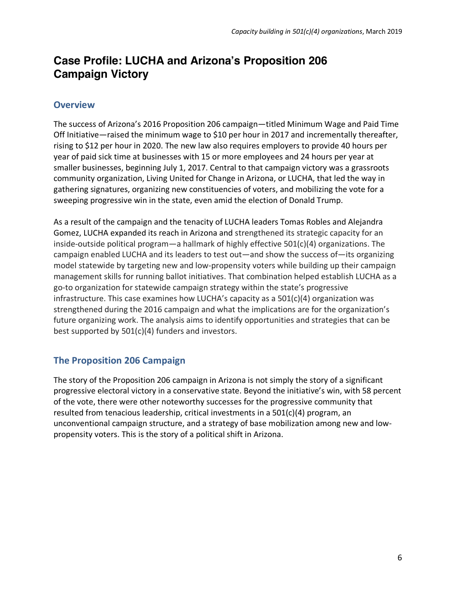# **Case Profile: LUCHA and Arizona's Proposition 206 Campaign Victory**

### **Overview**

The success of Arizona's 2016 Proposition 206 campaign—titled Minimum Wage and Paid Time Off Initiative—raised the minimum wage to \$10 per hour in 2017 and incrementally thereafter, rising to \$12 per hour in 2020. The new law also requires employers to provide 40 hours per year of paid sick time at businesses with 15 or more employees and 24 hours per year at smaller businesses, beginning July 1, 2017. Central to that campaign victory was a grassroots community organization, Living United for Change in Arizona, or LUCHA, that led the way in gathering signatures, organizing new constituencies of voters, and mobilizing the vote for a sweeping progressive win in the state, even amid the election of Donald Trump.

As a result of the campaign and the tenacity of LUCHA leaders Tomas Robles and Alejandra Gomez, LUCHA expanded its reach in Arizona and strengthened its strategic capacity for an inside-outside political program—a hallmark of highly effective 501(c)(4) organizations. The campaign enabled LUCHA and its leaders to test out—and show the success of—its organizing model statewide by targeting new and low-propensity voters while building up their campaign management skills for running ballot initiatives. That combination helped establish LUCHA as a go-to organization for statewide campaign strategy within the state's progressive infrastructure. This case examines how LUCHA's capacity as a 501(c)(4) organization was strengthened during the 2016 campaign and what the implications are for the organization's future organizing work. The analysis aims to identify opportunities and strategies that can be best supported by 501(c)(4) funders and investors.

## **The Proposition 206 Campaign**

The story of the Proposition 206 campaign in Arizona is not simply the story of a significant progressive electoral victory in a conservative state. Beyond the initiative's win, with 58 percent of the vote, there were other noteworthy successes for the progressive community that resulted from tenacious leadership, critical investments in a 501(c)(4) program, an unconventional campaign structure, and a strategy of base mobilization among new and lowpropensity voters. This is the story of a political shift in Arizona.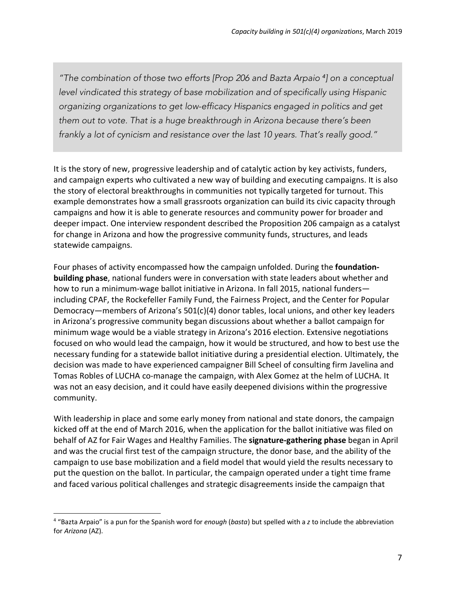*"The combination of those two efforts [Prop 206 and Bazta Arpaio <sup>4</sup> ] on a conceptual level vindicated this strategy of base mobilization and of specifically using Hispanic organizing organizations to get low-efficacy Hispanics engaged in politics and get them out to vote. That is a huge breakthrough in Arizona because there's been frankly a lot of cynicism and resistance over the last 10 years. That's really good."*

It is the story of new, progressive leadership and of catalytic action by key activists, funders, and campaign experts who cultivated a new way of building and executing campaigns. It is also the story of electoral breakthroughs in communities not typically targeted for turnout. This example demonstrates how a small grassroots organization can build its civic capacity through campaigns and how it is able to generate resources and community power for broader and deeper impact. One interview respondent described the Proposition 206 campaign as a catalyst for change in Arizona and how the progressive community funds, structures, and leads statewide campaigns.

Four phases of activity encompassed how the campaign unfolded. During the **foundationbuilding phase**, national funders were in conversation with state leaders about whether and how to run a minimum-wage ballot initiative in Arizona. In fall 2015, national funders including CPAF, the Rockefeller Family Fund, the Fairness Project, and the Center for Popular Democracy—members of Arizona's 501(c)(4) donor tables, local unions, and other key leaders in Arizona's progressive community began discussions about whether a ballot campaign for minimum wage would be a viable strategy in Arizona's 2016 election. Extensive negotiations focused on who would lead the campaign, how it would be structured, and how to best use the necessary funding for a statewide ballot initiative during a presidential election. Ultimately, the decision was made to have experienced campaigner Bill Scheel of consulting firm Javelina and Tomas Robles of LUCHA co-manage the campaign, with Alex Gomez at the helm of LUCHA. It was not an easy decision, and it could have easily deepened divisions within the progressive community.

With leadership in place and some early money from national and state donors, the campaign kicked off at the end of March 2016, when the application for the ballot initiative was filed on behalf of AZ for Fair Wages and Healthy Families. The **signature-gathering phase** began in April and was the crucial first test of the campaign structure, the donor base, and the ability of the campaign to use base mobilization and a field model that would yield the results necessary to put the question on the ballot. In particular, the campaign operated under a tight time frame and faced various political challenges and strategic disagreements inside the campaign that

 

<sup>4</sup> "Bazta Arpaio" is a pun for the Spanish word for *enough* (*basta*) but spelled with a *z* to include the abbreviation for *Arizona* (AZ).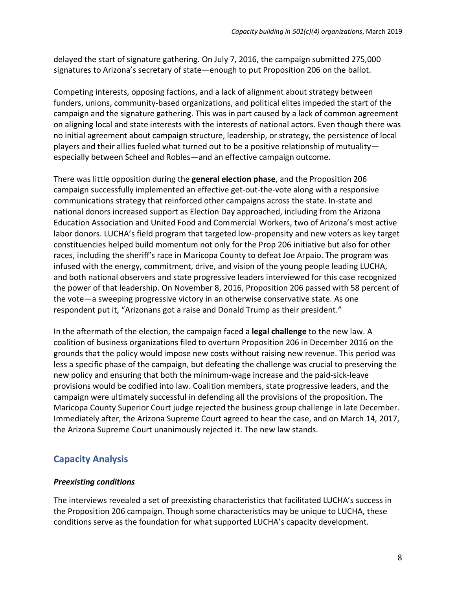delayed the start of signature gathering. On July 7, 2016, the campaign submitted 275,000 signatures to Arizona's secretary of state—enough to put Proposition 206 on the ballot.

Competing interests, opposing factions, and a lack of alignment about strategy between funders, unions, community-based organizations, and political elites impeded the start of the campaign and the signature gathering. This was in part caused by a lack of common agreement on aligning local and state interests with the interests of national actors. Even though there was no initial agreement about campaign structure, leadership, or strategy, the persistence of local players and their allies fueled what turned out to be a positive relationship of mutuality especially between Scheel and Robles—and an effective campaign outcome.

There was little opposition during the **general election phase**, and the Proposition 206 campaign successfully implemented an effective get-out-the-vote along with a responsive communications strategy that reinforced other campaigns across the state. In-state and national donors increased support as Election Day approached, including from the Arizona Education Association and United Food and Commercial Workers, two of Arizona's most active labor donors. LUCHA's field program that targeted low-propensity and new voters as key target constituencies helped build momentum not only for the Prop 206 initiative but also for other races, including the sheriff's race in Maricopa County to defeat Joe Arpaio. The program was infused with the energy, commitment, drive, and vision of the young people leading LUCHA, and both national observers and state progressive leaders interviewed for this case recognized the power of that leadership. On November 8, 2016, Proposition 206 passed with 58 percent of the vote—a sweeping progressive victory in an otherwise conservative state. As one respondent put it, "Arizonans got a raise and Donald Trump as their president."

In the aftermath of the election, the campaign faced a **legal challenge** to the new law. A coalition of business organizations filed to overturn Proposition 206 in December 2016 on the grounds that the policy would impose new costs without raising new revenue. This period was less a specific phase of the campaign, but defeating the challenge was crucial to preserving the new policy and ensuring that both the minimum-wage increase and the paid-sick-leave provisions would be codified into law. Coalition members, state progressive leaders, and the campaign were ultimately successful in defending all the provisions of the proposition. The Maricopa County Superior Court judge rejected the business group challenge in late December. Immediately after, the Arizona Supreme Court agreed to hear the case, and on March 14, 2017, the Arizona Supreme Court unanimously rejected it. The new law stands.

## **Capacity Analysis**

#### *Preexisting conditions*

The interviews revealed a set of preexisting characteristics that facilitated LUCHA's success in the Proposition 206 campaign. Though some characteristics may be unique to LUCHA, these conditions serve as the foundation for what supported LUCHA's capacity development.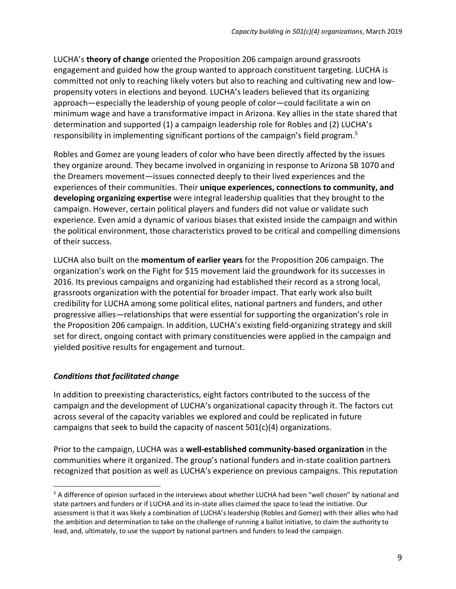LUCHA's **theory of change** oriented the Proposition 206 campaign around grassroots engagement and guided how the group wanted to approach constituent targeting. LUCHA is committed not only to reaching likely voters but also to reaching and cultivating new and lowpropensity voters in elections and beyond. LUCHA's leaders believed that its organizing approach—especially the leadership of young people of color—could facilitate a win on minimum wage and have a transformative impact in Arizona. Key allies in the state shared that determination and supported (1) a campaign leadership role for Robles and (2) LUCHA's responsibility in implementing significant portions of the campaign's field program.5

Robles and Gomez are young leaders of color who have been directly affected by the issues they organize around. They became involved in organizing in response to Arizona SB 1070 and the Dreamers movement—issues connected deeply to their lived experiences and the experiences of their communities. Their **unique experiences, connections to community, and developing organizing expertise** were integral leadership qualities that they brought to the campaign. However, certain political players and funders did not value or validate such experience. Even amid a dynamic of various biases that existed inside the campaign and within the political environment, those characteristics proved to be critical and compelling dimensions of their success.

LUCHA also built on the **momentum of earlier years** for the Proposition 206 campaign. The organization's work on the Fight for \$15 movement laid the groundwork for its successes in 2016. Its previous campaigns and organizing had established their record as a strong local, grassroots organization with the potential for broader impact. That early work also built credibility for LUCHA among some political elites, national partners and funders, and other progressive allies—relationships that were essential for supporting the organization's role in the Proposition 206 campaign. In addition, LUCHA's existing field-organizing strategy and skill set for direct, ongoing contact with primary constituencies were applied in the campaign and yielded positive results for engagement and turnout.

#### *Conditions that facilitated change*

 

In addition to preexisting characteristics, eight factors contributed to the success of the campaign and the development of LUCHA's organizational capacity through it. The factors cut across several of the capacity variables we explored and could be replicated in future campaigns that seek to build the capacity of nascent 501(c)(4) organizations.

Prior to the campaign, LUCHA was a **well-established community-based organization** in the communities where it organized. The group's national funders and in-state coalition partners recognized that position as well as LUCHA's experience on previous campaigns. This reputation

<sup>&</sup>lt;sup>5</sup> A difference of opinion surfaced in the interviews about whether LUCHA had been "well chosen" by national and state partners and funders or if LUCHA and its in-state allies claimed the space to lead the initiative. Our assessment is that it was likely a combination of LUCHA's leadership (Robles and Gomez) with their allies who had the ambition and determination to take on the challenge of running a ballot initiative, to claim the authority to lead, and, ultimately, to use the support by national partners and funders to lead the campaign.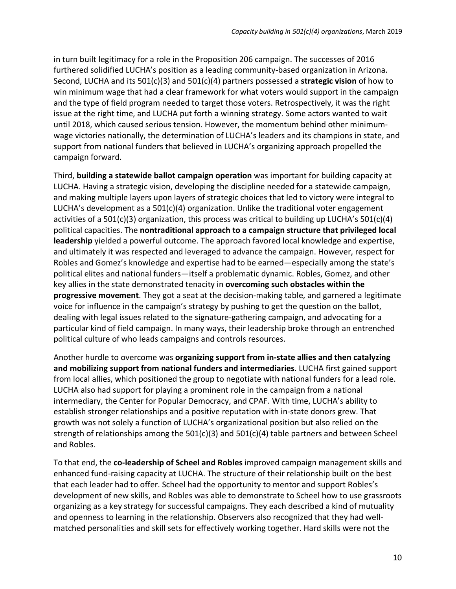in turn built legitimacy for a role in the Proposition 206 campaign. The successes of 2016 furthered solidified LUCHA's position as a leading community-based organization in Arizona. Second, LUCHA and its 501(c)(3) and 501(c)(4) partners possessed a **strategic vision** of how to win minimum wage that had a clear framework for what voters would support in the campaign and the type of field program needed to target those voters. Retrospectively, it was the right issue at the right time, and LUCHA put forth a winning strategy. Some actors wanted to wait until 2018, which caused serious tension. However, the momentum behind other minimumwage victories nationally, the determination of LUCHA's leaders and its champions in state, and support from national funders that believed in LUCHA's organizing approach propelled the campaign forward.

Third, **building a statewide ballot campaign operation** was important for building capacity at LUCHA. Having a strategic vision, developing the discipline needed for a statewide campaign, and making multiple layers upon layers of strategic choices that led to victory were integral to LUCHA's development as a 501(c)(4) organization. Unlike the traditional voter engagement activities of a 501(c)(3) organization, this process was critical to building up LUCHA's 501(c)(4) political capacities. The **nontraditional approach to a campaign structure that privileged local leadership** yielded a powerful outcome. The approach favored local knowledge and expertise, and ultimately it was respected and leveraged to advance the campaign. However, respect for Robles and Gomez's knowledge and expertise had to be earned—especially among the state's political elites and national funders—itself a problematic dynamic. Robles, Gomez, and other key allies in the state demonstrated tenacity in **overcoming such obstacles within the progressive movement**. They got a seat at the decision-making table, and garnered a legitimate voice for influence in the campaign's strategy by pushing to get the question on the ballot, dealing with legal issues related to the signature-gathering campaign, and advocating for a particular kind of field campaign. In many ways, their leadership broke through an entrenched political culture of who leads campaigns and controls resources.

Another hurdle to overcome was **organizing support from in-state allies and then catalyzing and mobilizing support from national funders and intermediaries**. LUCHA first gained support from local allies, which positioned the group to negotiate with national funders for a lead role. LUCHA also had support for playing a prominent role in the campaign from a national intermediary, the Center for Popular Democracy, and CPAF. With time, LUCHA's ability to establish stronger relationships and a positive reputation with in-state donors grew. That growth was not solely a function of LUCHA's organizational position but also relied on the strength of relationships among the 501(c)(3) and 501(c)(4) table partners and between Scheel and Robles.

To that end, the **co-leadership of Scheel and Robles** improved campaign management skills and enhanced fund-raising capacity at LUCHA. The structure of their relationship built on the best that each leader had to offer. Scheel had the opportunity to mentor and support Robles's development of new skills, and Robles was able to demonstrate to Scheel how to use grassroots organizing as a key strategy for successful campaigns. They each described a kind of mutuality and openness to learning in the relationship. Observers also recognized that they had wellmatched personalities and skill sets for effectively working together. Hard skills were not the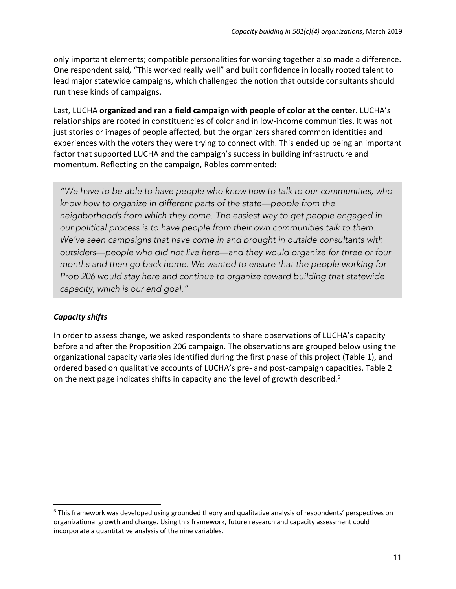only important elements; compatible personalities for working together also made a difference. One respondent said, "This worked really well" and built confidence in locally rooted talent to lead major statewide campaigns, which challenged the notion that outside consultants should run these kinds of campaigns.

Last, LUCHA **organized and ran a field campaign with people of color at the center**. LUCHA's relationships are rooted in constituencies of color and in low-income communities. It was not just stories or images of people affected, but the organizers shared common identities and experiences with the voters they were trying to connect with. This ended up being an important factor that supported LUCHA and the campaign's success in building infrastructure and momentum. Reflecting on the campaign, Robles commented:

*"We have to be able to have people who know how to talk to our communities, who know how to organize in different parts of the state—people from the neighborhoods from which they come. The easiest way to get people engaged in our political process is to have people from their own communities talk to them. We've seen campaigns that have come in and brought in outside consultants with outsiders—people who did not live here—and they would organize for three or four months and then go back home. We wanted to ensure that the people working for Prop 206 would stay here and continue to organize toward building that statewide capacity, which is our end goal."*

#### *Capacity shifts*

 

In order to assess change, we asked respondents to share observations of LUCHA's capacity before and after the Proposition 206 campaign. The observations are grouped below using the organizational capacity variables identified during the first phase of this project (Table 1), and ordered based on qualitative accounts of LUCHA's pre- and post-campaign capacities. Table 2 on the next page indicates shifts in capacity and the level of growth described.<sup>6</sup>

<sup>&</sup>lt;sup>6</sup> This framework was developed using grounded theory and qualitative analysis of respondents' perspectives on organizational growth and change. Using this framework, future research and capacity assessment could incorporate a quantitative analysis of the nine variables.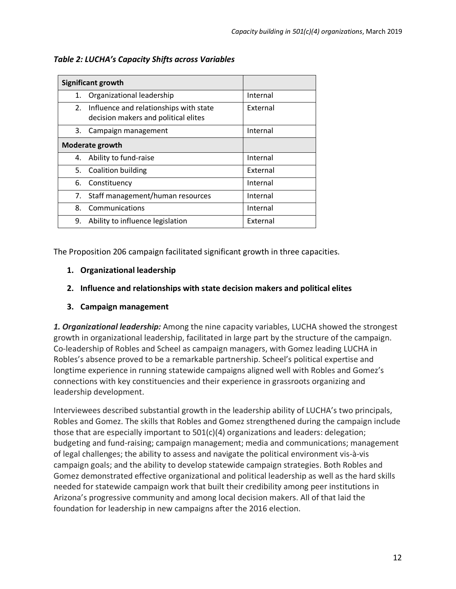|                 | Significant growth                                                             |          |
|-----------------|--------------------------------------------------------------------------------|----------|
| 1.              | Organizational leadership                                                      | Internal |
| 2.              | Influence and relationships with state<br>decision makers and political elites | External |
| 3.              | Campaign management                                                            | Internal |
| Moderate growth |                                                                                |          |
| 4.              | Ability to fund-raise                                                          | Internal |
|                 | 5. Coalition building                                                          | External |
| 6.              | Constituency                                                                   | Internal |
| 7.              | Staff management/human resources                                               | Internal |
| 8.              | Communications                                                                 | Internal |
| 9.              | Ability to influence legislation                                               | External |

*Table 2: LUCHA's Capacity Shifts across Variables*

The Proposition 206 campaign facilitated significant growth in three capacities.

### **1. Organizational leadership**

### **2. Influence and relationships with state decision makers and political elites**

### **3. Campaign management**

*1. Organizational leadership:* Among the nine capacity variables, LUCHA showed the strongest growth in organizational leadership, facilitated in large part by the structure of the campaign. Co-leadership of Robles and Scheel as campaign managers, with Gomez leading LUCHA in Robles's absence proved to be a remarkable partnership. Scheel's political expertise and longtime experience in running statewide campaigns aligned well with Robles and Gomez's connections with key constituencies and their experience in grassroots organizing and leadership development.

Interviewees described substantial growth in the leadership ability of LUCHA's two principals, Robles and Gomez. The skills that Robles and Gomez strengthened during the campaign include those that are especially important to 501(c)(4) organizations and leaders: delegation; budgeting and fund-raising; campaign management; media and communications; management of legal challenges; the ability to assess and navigate the political environment vis-à-vis campaign goals; and the ability to develop statewide campaign strategies. Both Robles and Gomez demonstrated effective organizational and political leadership as well as the hard skills needed for statewide campaign work that built their credibility among peer institutions in Arizona's progressive community and among local decision makers. All of that laid the foundation for leadership in new campaigns after the 2016 election.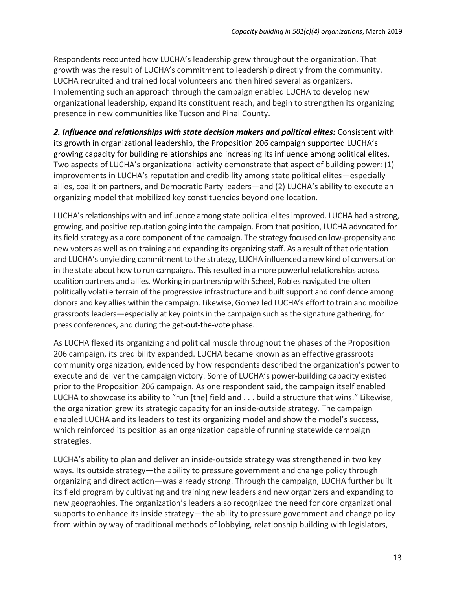Respondents recounted how LUCHA's leadership grew throughout the organization. That growth was the result of LUCHA's commitment to leadership directly from the community. LUCHA recruited and trained local volunteers and then hired several as organizers. Implementing such an approach through the campaign enabled LUCHA to develop new organizational leadership, expand its constituent reach, and begin to strengthen its organizing presence in new communities like Tucson and Pinal County.

*2. Influence and relationships with state decision makers and political elites:* Consistent with its growth in organizational leadership, the Proposition 206 campaign supported LUCHA's growing capacity for building relationships and increasing its influence among political elites. Two aspects of LUCHA's organizational activity demonstrate that aspect of building power: (1) improvements in LUCHA's reputation and credibility among state political elites—especially allies, coalition partners, and Democratic Party leaders—and (2) LUCHA's ability to execute an organizing model that mobilized key constituencies beyond one location.

LUCHA's relationships with and influence among state political elites improved. LUCHA had a strong, growing, and positive reputation going into the campaign. From that position, LUCHA advocated for its field strategy as a core component of the campaign. The strategy focused on low-propensity and new voters as well as on training and expanding its organizing staff. As a result of that orientation and LUCHA's unyielding commitment to the strategy, LUCHA influenced a new kind of conversation in the state about how to run campaigns. This resulted in a more powerful relationships across coalition partners and allies. Working in partnership with Scheel, Robles navigated the often politically volatile terrain of the progressive infrastructure and built support and confidence among donors and key allies within the campaign. Likewise, Gomez led LUCHA's effort to train and mobilize grassroots leaders—especially at key points in the campaign such as the signature gathering, for press conferences, and during the get-out-the-vote phase.

As LUCHA flexed its organizing and political muscle throughout the phases of the Proposition 206 campaign, its credibility expanded. LUCHA became known as an effective grassroots community organization, evidenced by how respondents described the organization's power to execute and deliver the campaign victory. Some of LUCHA's power-building capacity existed prior to the Proposition 206 campaign. As one respondent said, the campaign itself enabled LUCHA to showcase its ability to "run [the] field and . . . build a structure that wins." Likewise, the organization grew its strategic capacity for an inside-outside strategy. The campaign enabled LUCHA and its leaders to test its organizing model and show the model's success, which reinforced its position as an organization capable of running statewide campaign strategies.

LUCHA's ability to plan and deliver an inside-outside strategy was strengthened in two key ways. Its outside strategy—the ability to pressure government and change policy through organizing and direct action—was already strong. Through the campaign, LUCHA further built its field program by cultivating and training new leaders and new organizers and expanding to new geographies. The organization's leaders also recognized the need for core organizational supports to enhance its inside strategy—the ability to pressure government and change policy from within by way of traditional methods of lobbying, relationship building with legislators,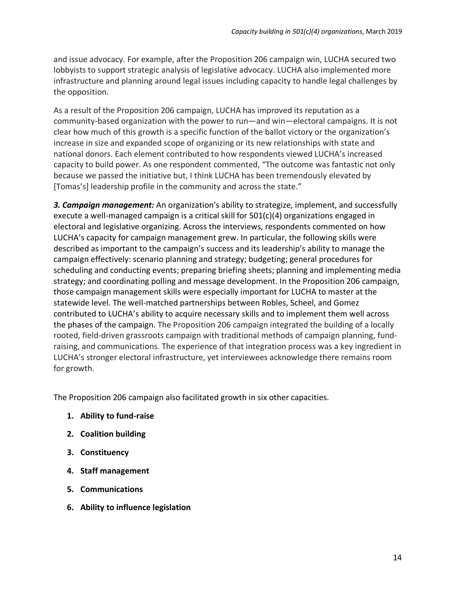and issue advocacy. For example, after the Proposition 206 campaign win, LUCHA secured two lobbyists to support strategic analysis of legislative advocacy. LUCHA also implemented more infrastructure and planning around legal issues including capacity to handle legal challenges by the opposition.

As a result of the Proposition 206 campaign, LUCHA has improved its reputation as a community-based organization with the power to run—and win—electoral campaigns. It is not clear how much of this growth is a specific function of the ballot victory or the organization's increase in size and expanded scope of organizing or its new relationships with state and national donors. Each element contributed to how respondents viewed LUCHA's increased capacity to build power. As one respondent commented, "The outcome was fantastic not only because we passed the initiative but, I think LUCHA has been tremendously elevated by [Tomas's] leadership profile in the community and across the state."

*3. Campaign management:* An organization's ability to strategize, implement, and successfully execute a well-managed campaign is a critical skill for  $501(c)(4)$  organizations engaged in electoral and legislative organizing. Across the interviews, respondents commented on how LUCHA's capacity for campaign management grew. In particular, the following skills were described as important to the campaign's success and its leadership's ability to manage the campaign effectively: scenario planning and strategy; budgeting; general procedures for scheduling and conducting events; preparing briefing sheets; planning and implementing media strategy; and coordinating polling and message development. In the Proposition 206 campaign, those campaign management skills were especially important for LUCHA to master at the statewide level. The well-matched partnerships between Robles, Scheel, and Gomez contributed to LUCHA's ability to acquire necessary skills and to implement them well across the phases of the campaign. The Proposition 206 campaign integrated the building of a locally rooted, field-driven grassroots campaign with traditional methods of campaign planning, fundraising, and communications. The experience of that integration process was a key ingredient in LUCHA's stronger electoral infrastructure, yet interviewees acknowledge there remains room for growth.

The Proposition 206 campaign also facilitated growth in six other capacities.

- **1. Ability to fund-raise**
- **2. Coalition building**
- **3. Constituency**
- **4. Staff management**
- **5. Communications**
- **6. Ability to influence legislation**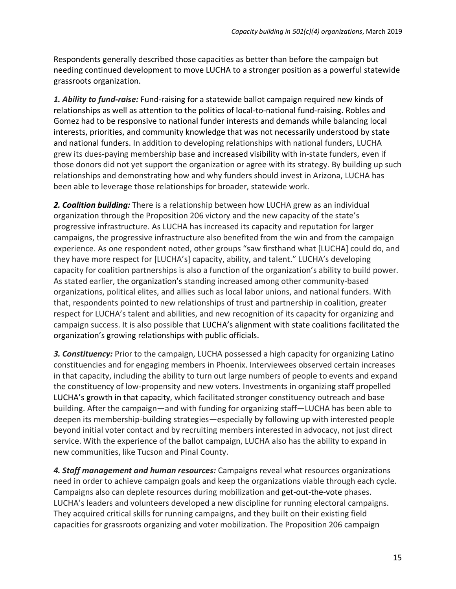Respondents generally described those capacities as better than before the campaign but needing continued development to move LUCHA to a stronger position as a powerful statewide grassroots organization.

*1. Ability to fund-raise:* Fund-raising for a statewide ballot campaign required new kinds of relationships as well as attention to the politics of local-to-national fund-raising. Robles and Gomez had to be responsive to national funder interests and demands while balancing local interests, priorities, and community knowledge that was not necessarily understood by state and national funders. In addition to developing relationships with national funders, LUCHA grew its dues-paying membership base and increased visibility with in-state funders, even if those donors did not yet support the organization or agree with its strategy. By building up such relationships and demonstrating how and why funders should invest in Arizona, LUCHA has been able to leverage those relationships for broader, statewide work.

*2. Coalition building:* There is a relationship between how LUCHA grew as an individual organization through the Proposition 206 victory and the new capacity of the state's progressive infrastructure. As LUCHA has increased its capacity and reputation for larger campaigns, the progressive infrastructure also benefited from the win and from the campaign experience. As one respondent noted, other groups "saw firsthand what [LUCHA] could do, and they have more respect for [LUCHA's] capacity, ability, and talent." LUCHA's developing capacity for coalition partnerships is also a function of the organization's ability to build power. As stated earlier, the organization's standing increased among other community-based organizations, political elites, and allies such as local labor unions, and national funders. With that, respondents pointed to new relationships of trust and partnership in coalition, greater respect for LUCHA's talent and abilities, and new recognition of its capacity for organizing and campaign success. It is also possible that LUCHA's alignment with state coalitions facilitated the organization's growing relationships with public officials.

*3. Constituency:* Prior to the campaign, LUCHA possessed a high capacity for organizing Latino constituencies and for engaging members in Phoenix. Interviewees observed certain increases in that capacity, including the ability to turn out large numbers of people to events and expand the constituency of low-propensity and new voters. Investments in organizing staff propelled LUCHA's growth in that capacity, which facilitated stronger constituency outreach and base building. After the campaign—and with funding for organizing staff—LUCHA has been able to deepen its membership-building strategies—especially by following up with interested people beyond initial voter contact and by recruiting members interested in advocacy, not just direct service. With the experience of the ballot campaign, LUCHA also has the ability to expand in new communities, like Tucson and Pinal County.

*4. Staff management and human resources:* Campaigns reveal what resources organizations need in order to achieve campaign goals and keep the organizations viable through each cycle. Campaigns also can deplete resources during mobilization and get-out-the-vote phases. LUCHA's leaders and volunteers developed a new discipline for running electoral campaigns. They acquired critical skills for running campaigns, and they built on their existing field capacities for grassroots organizing and voter mobilization. The Proposition 206 campaign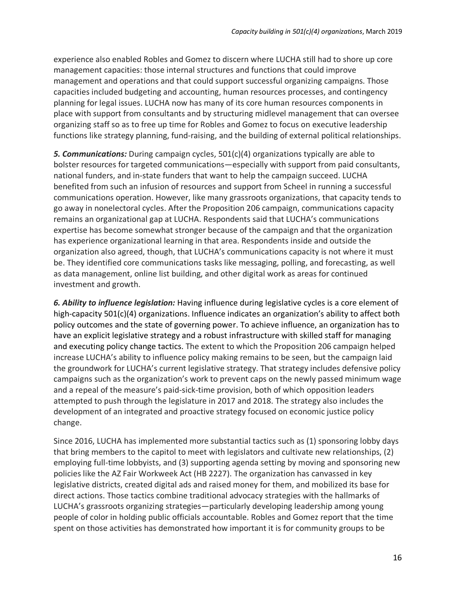experience also enabled Robles and Gomez to discern where LUCHA still had to shore up core management capacities: those internal structures and functions that could improve management and operations and that could support successful organizing campaigns. Those capacities included budgeting and accounting, human resources processes, and contingency planning for legal issues. LUCHA now has many of its core human resources components in place with support from consultants and by structuring midlevel management that can oversee organizing staff so as to free up time for Robles and Gomez to focus on executive leadership functions like strategy planning, fund-raising, and the building of external political relationships.

*5. Communications:* During campaign cycles, 501(c)(4) organizations typically are able to bolster resources for targeted communications—especially with support from paid consultants, national funders, and in-state funders that want to help the campaign succeed. LUCHA benefited from such an infusion of resources and support from Scheel in running a successful communications operation. However, like many grassroots organizations, that capacity tends to go away in nonelectoral cycles. After the Proposition 206 campaign, communications capacity remains an organizational gap at LUCHA. Respondents said that LUCHA's communications expertise has become somewhat stronger because of the campaign and that the organization has experience organizational learning in that area. Respondents inside and outside the organization also agreed, though, that LUCHA's communications capacity is not where it must be. They identified core communications tasks like messaging, polling, and forecasting, as well as data management, online list building, and other digital work as areas for continued investment and growth.

*6. Ability to influence legislation:* Having influence during legislative cycles is a core element of high-capacity 501(c)(4) organizations. Influence indicates an organization's ability to affect both policy outcomes and the state of governing power. To achieve influence, an organization has to have an explicit legislative strategy and a robust infrastructure with skilled staff for managing and executing policy change tactics. The extent to which the Proposition 206 campaign helped increase LUCHA's ability to influence policy making remains to be seen, but the campaign laid the groundwork for LUCHA's current legislative strategy. That strategy includes defensive policy campaigns such as the organization's work to prevent caps on the newly passed minimum wage and a repeal of the measure's paid-sick-time provision, both of which opposition leaders attempted to push through the legislature in 2017 and 2018. The strategy also includes the development of an integrated and proactive strategy focused on economic justice policy change.

Since 2016, LUCHA has implemented more substantial tactics such as (1) sponsoring lobby days that bring members to the capitol to meet with legislators and cultivate new relationships, (2) employing full-time lobbyists, and (3) supporting agenda setting by moving and sponsoring new policies like the AZ Fair Workweek Act (HB 2227). The organization has canvassed in key legislative districts, created digital ads and raised money for them, and mobilized its base for direct actions. Those tactics combine traditional advocacy strategies with the hallmarks of LUCHA's grassroots organizing strategies—particularly developing leadership among young people of color in holding public officials accountable. Robles and Gomez report that the time spent on those activities has demonstrated how important it is for community groups to be